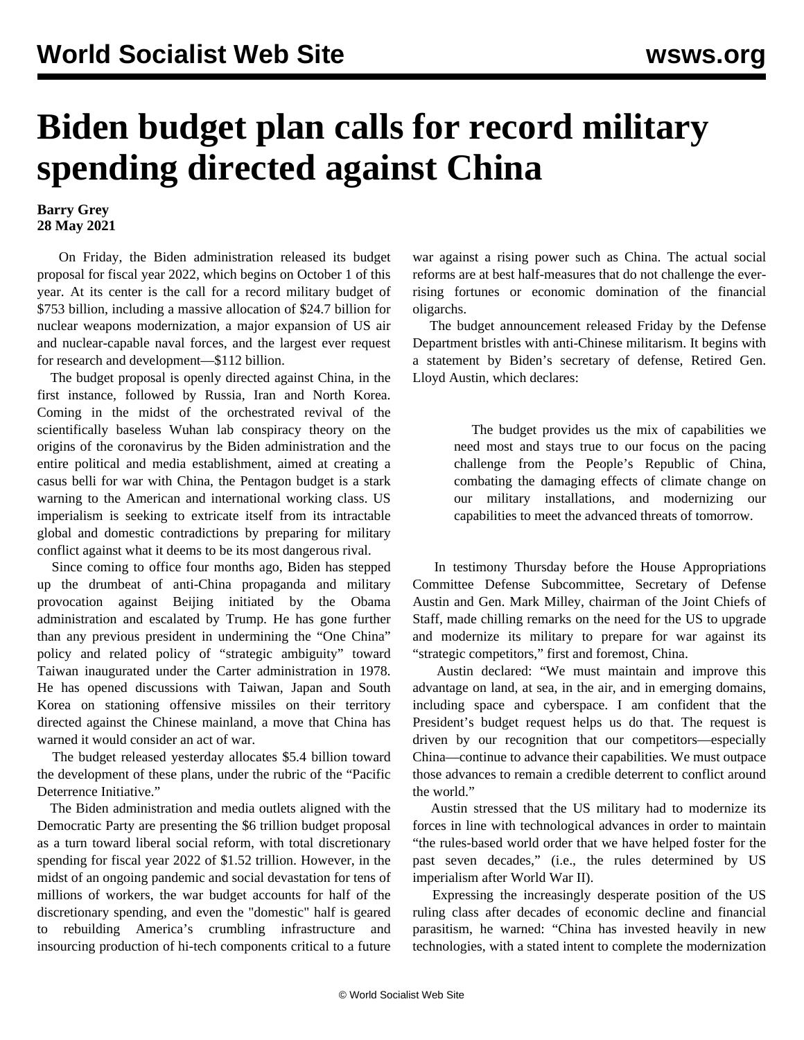## **Biden budget plan calls for record military spending directed against China**

## **Barry Grey 28 May 2021**

 On Friday, the Biden administration released its budget proposal for fiscal year 2022, which begins on October 1 of this year. At its center is the call for a record military budget of \$753 billion, including a massive allocation of \$24.7 billion for nuclear weapons modernization, a major expansion of US air and nuclear-capable naval forces, and the largest ever request for research and development—\$112 billion.

 The budget proposal is openly directed against China, in the first instance, followed by Russia, Iran and North Korea. Coming in the midst of the orchestrated revival of the scientifically baseless Wuhan lab conspiracy theory on the origins of the coronavirus by the Biden administration and the entire political and media establishment, aimed at creating a casus belli for war with China, the Pentagon budget is a stark warning to the American and international working class. US imperialism is seeking to extricate itself from its intractable global and domestic contradictions by preparing for military conflict against what it deems to be its most dangerous rival.

 Since coming to office four months ago, Biden has stepped up the drumbeat of anti-China propaganda and military provocation against Beijing initiated by the Obama administration and escalated by Trump. He has gone further than any previous president in undermining the "One China" policy and related policy of "strategic ambiguity" toward Taiwan inaugurated under the Carter administration in 1978. He has opened discussions with Taiwan, Japan and South Korea on stationing offensive missiles on their territory directed against the Chinese mainland, a move that China has warned it would consider an act of war.

 The budget released yesterday allocates \$5.4 billion toward the development of these plans, under the rubric of the "Pacific Deterrence Initiative."

 The Biden administration and media outlets aligned with the Democratic Party are presenting the \$6 trillion budget proposal as a turn toward liberal social reform, with total discretionary spending for fiscal year 2022 of \$1.52 trillion. However, in the midst of an ongoing pandemic and social devastation for tens of millions of workers, the war budget accounts for half of the discretionary spending, and even the "domestic" half is geared to rebuilding America's crumbling infrastructure and insourcing production of hi-tech components critical to a future war against a rising power such as China. The actual social reforms are at best half-measures that do not challenge the everrising fortunes or economic domination of the financial oligarchs.

 The budget announcement released Friday by the Defense Department bristles with anti-Chinese militarism. It begins with a statement by Biden's secretary of defense, Retired Gen. Lloyd Austin, which declares:

> The budget provides us the mix of capabilities we need most and stays true to our focus on the pacing challenge from the People's Republic of China, combating the damaging effects of climate change on our military installations, and modernizing our capabilities to meet the advanced threats of tomorrow.

 In testimony Thursday before the House Appropriations Committee Defense Subcommittee, Secretary of Defense Austin and Gen. Mark Milley, chairman of the Joint Chiefs of Staff, made chilling remarks on the need for the US to upgrade and modernize its military to prepare for war against its "strategic competitors," first and foremost, China.

 Austin declared: "We must maintain and improve this advantage on land, at sea, in the air, and in emerging domains, including space and cyberspace. I am confident that the President's budget request helps us do that. The request is driven by our recognition that our competitors—especially China—continue to advance their capabilities. We must outpace those advances to remain a credible deterrent to conflict around the world."

 Austin stressed that the US military had to modernize its forces in line with technological advances in order to maintain "the rules-based world order that we have helped foster for the past seven decades," (i.e., the rules determined by US imperialism after World War II).

 Expressing the increasingly desperate position of the US ruling class after decades of economic decline and financial parasitism, he warned: "China has invested heavily in new technologies, with a stated intent to complete the modernization